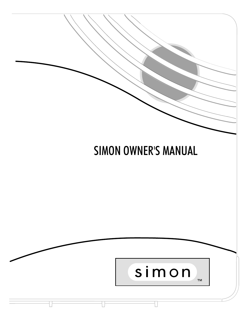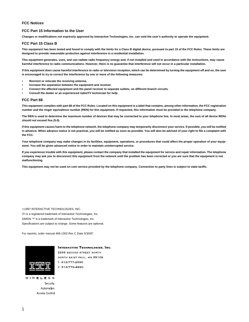#### **FCC Notices**

#### **FCC Part 15 Information to the User**

**Changes or modifications not expressly approved by Interactive Technologies, Inc. can void the user's authority to operate the equipment.**

#### **FCC Part 15 Class B**

**This equipment has been tested and found to comply with the limits for a Class B digital device, pursuant to part 15 of the FCC Rules. These limits are designed to provide reasonable protection against interference in a residential installation.**

**This equipment generates, uses, and can radiate radio frequency energy and, if not installed and used in accordance with the instructions, may cause harmful interference to radio communications. However, there is no guarantee that interference will not occur in a particular installation.**

**If this equipment does cause harmful interference to radio or television reception, which can be determined by turning the equipment off and on, the user is encouraged to try to correct the interference by one or more of the following measures:**

- **Reorient or relocate the receiving antenna.**
- **Increase the separation between the equipment and receiver.**
- **Connect the affected equipment and the panel receiver to separate outlets, on different branch circuits.**
- **Consult the dealer or an experienced radio/TV technician for help.**

#### **FCC Part 68**

**This equipment complies with part 68 of the FCC Rules. Located on this equipment is a label that contains, among other information, the FCC registration number and the ringer equivalence number (REN) for this equipment. If requested, this information must be provided to the telephone company.**

**The REN is used to determine the maximum number of devices that may be connected to your telephone line. In most areas, the sum of all device RENs should not exceed five (5.0).**

**If this equipment causes harm to the telephone network, the telephone company may temporarily disconnect your service. If possible, you will be notified in advance. When advance notice is not practical, you will be notified as soon as possible. You will also be advised of your right to file a complaint with the FCC.**

**Your telephone company may make changes in its facilities, equipment, operations, or procedures that could affect the proper operation of your equipment. You will be given advanced notice in order to maintain uninterrupted service.**

**If you experience trouble with this equipment, please contact the company that installed the equipment for service and repair information. The telephone company may ask you to disconnect this equipment from the network until the problem has been corrected or you are sure that the equipment is not malfunctioning.**

**This equipment may not be used on coin service provided by the telephone company. Connection to party lines is subject to state tariffs.**

©1997 INTERACTIVE TECHNOLOGIES, INC. ITI is a registered trademark of Interactive Technologies, Inc. SIMON ™ is a trademark of Interactive Technologies, Inc. Specifications are subject to change. Some features are optional.

For reprints, order manual 466-1302 Rev C Date 5/30/97



**INTERACTIVE TECHNOLOGIES, INC.** 2266 SECOND STREET NORTH NORTH SAINT PAUL, MN 55109 T: 612/777-2690 F: 612/779-4890

**WIRELESS** Security Automation **Access Control**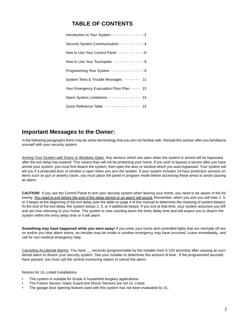## **TABLE OF CONTENTS**

| Introduction to Your System - - - - - - - - - - - - - - 3 |
|-----------------------------------------------------------|
| Security System Communication -----------4                |
| How to Use Your Control Panel ------------6               |
| How to Use Your Touchpads --------------8                 |
| Programming Your System ---------------9                  |
| System Tests & Trouble Messages ------- 11                |
| Your Emergency Evacuation Floor Plan ---- 13              |
| Alarm System Limitations ------------- 14                 |
| Quick Reference Table --------------- 15                  |

## **Important Messages to the Owner:**

In the following paragraphs there may be some terminology that you are not familiar with. Reread this section after you familiarize yourself with your security system.

Arming Your System with Doors or Windows Open: Any sensors which are open when the system is armed will be bypassed after the exit delay has expired. This means they will not be protecting your home. If you wish to bypass a sensor after you have armed your system, you must first disarm the system, then open the door or window which you want bypassed. Your system will tell you if a protected door or window is open when you arm the system. If your system includes 24-hour protection sensors on items such as gun or jewelry cases, you must place the panel in program mode before accessing these areas to avoid causing an alarm.

**CAUTION!** If you use the Control Panel to arm your security system when leaving your home, you need to be aware of the following: You need to exit before the end of the delay period or an alarm will sound. Remember, when you arm you will hear 2, 3, or 4 beeps at the beginning of the exit delay (see the table on page 4 of this manual to determine the meaning of system beeps). At the end of the exit delay, the system beeps 2, 3, or 4 additional beeps. If you exit at that time, your system assumes you left and are now returning to your home. The system is now counting down the entry delay time and will expect you to disarm the system within the entry delay time or it will alarm.

**Something may have happened while you were away!** If you enter your home and controlled lights that are normally off are on and/or you hear alarm sirens, an intruder may be inside or another emergency may have occurred. Leave immediately, and call for non-medical emergency help.

Canceling Accidental Alarms: You have \_\_ seconds (programmable by the installer from 5-120 seconds) after causing an accidental alarm to disarm your security system. See your installer to determine this amount of time. If the programmed seconds have passed, you must call the central monitoring station to cancel the alarm.

Notices for UL-Listed Installations:

- This system is suitable for Grade A household burglary applications.
- The Freeze Sensor, Glass Guard and Shock Sensors are not UL Listed.
- The garage door opening feature used with this system has not been evaluated by UL.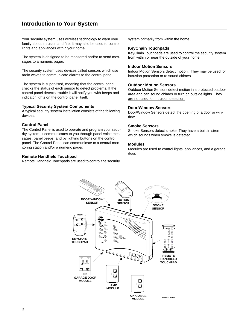Your security system uses wireless technology to warn your family about intrusion and fire. It may also be used to control lights and appliances within your home.

The system is designed to be monitored and/or to send messages to a numeric pager.

The security system uses devices called sensors which use radio waves to communicate alarms to the control panel.

The system is supervised, meaning that the control panel checks the status of each sensor to detect problems. If the control panel detects trouble it will notify you with beeps and indicator lights on the control panel itself.

### **Typical Security System Components**

A typical security system installation consists of the following devices:

### **Control Panel**

The Control Panel is used to operate and program your security system. It communicates to you through panel voice messages, panel beeps, and by lighting buttons on the control panel. The Control Panel can communicate to a central monitoring station and/or a numeric pager.

### **Remote Handheld Touchpad**

Remote Handheld Touchpads are used to control the security

system primarily from within the home.

#### **KeyChain Touchpads**

KeyChain Touchpads are used to control the security system from within or near the outside of your home.

#### **Indoor Motion Sensors**

Indoor Motion Sensors detect motion. They may be used for intrusion protection or to sound chimes.

### **Outdoor Motion Sensors**

Outdoor Motion Sensors detect motion in a protected outdoor area and can sound chimes or turn on outside lights. They are not used for intrusion detection.

#### **Door/Window Sensors**

Door/Window Sensors detect the opening of a door or window.

### **Smoke Sensors**

Smoke Sensors detect smoke. They have a built in siren which sounds when smoke is detected.

#### **Modules**

Modules are used to control lights, appliances, and a garage door.

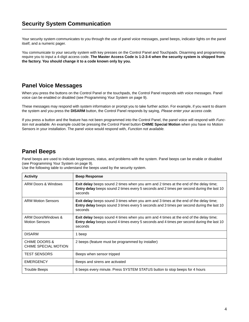Your security system communicates to you through the use of panel voice messages, panel beeps, indicator lights on the panel itself, and a numeric pager.

You communicate to your security system with key presses on the Control Panel and Touchpads. Disarming and programming require you to input a 4-digit access code. **The Master Access Code is 1-2-3-4 when the security system is shipped from the factory. You should change it to a code known only by you.**

## **Panel Voice Messages**

When you press the buttons on the Control Panel or the touchpads, the Control Panel responds with voice messages. Panel voice can be enabled or disabled (see Programming Your System on page 9).

These messages may respond with system information or prompt you to take further action. For example, if you want to disarm the system and you press the **DISARM** button, the Control Panel responds by saying, Please enter your access code.

If you press a button and the feature has not been programmed into the Control Panel, the panel voice will respond with Function not available. An example could be pressing the Control Panel button **CHIME Special Motion** when you have no Motion Sensors in your installation. The panel voice would respond with, Function not available.

## **Panel Beeps**

Panel beeps are used to indicate keypresses, status, and problems with the system. Panel beeps can be enable or disabled (see Programming Your System on page 9).

Use the following table to understand the beeps used by the security system.

| <b>Activity</b>                                  | <b>Beep Response</b>                                                                                                                                                                                        |
|--------------------------------------------------|-------------------------------------------------------------------------------------------------------------------------------------------------------------------------------------------------------------|
| ARM Doors & Windows                              | <b>Exit delay</b> beeps sound 2 times when you arm and 2 times at the end of the delay time;<br><b>Entry delay</b> beeps sound 2 times every 5 seconds and 2 times per second during the last 10<br>seconds |
| <b>ARM Motion Sensors</b>                        | <b>Exit delay</b> beeps sound 3 times when you arm and 3 times at the end of the delay time;<br>Entry delay beeps sound 3 times every 5 seconds and 3 times per second during the last 10<br>seconds        |
| ARM Doors/Windows &<br><b>Motion Sensors</b>     | Exit delay beeps sound 4 times when you arm and 4 times at the end of the delay time;<br><b>Entry delay</b> beeps sound 4 times every 5 seconds and 4 times per second during the last 10<br>seconds        |
| <b>DISARM</b>                                    | 1 beep                                                                                                                                                                                                      |
| <b>CHIME DOORS &amp;</b><br>CHIME SPECIAL MOTION | 2 beeps (feature must be programmed by installer)                                                                                                                                                           |
| <b>TEST SENSORS</b>                              | Beeps when sensor tripped                                                                                                                                                                                   |
| <b>EMERGENCY</b>                                 | Beeps and sirens are activated                                                                                                                                                                              |
| Trouble Beeps                                    | 6 beeps every minute. Press SYSTEM STATUS button to stop beeps for 4 hours                                                                                                                                  |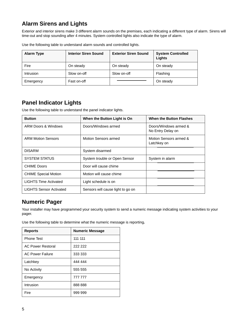## **Alarm Sirens and Lights**

Exterior and interior sirens make 3 different alarm sounds on the premises, each indicating a different type of alarm. Sirens will time-out and stop sounding after 4 minutes. System controlled lights also indicate the type of alarm.

| <b>Alarm Type</b> | <b>Interior Siren Sound</b> | <b>Exterior Siren Sound</b> | <b>System Controlled</b><br>Lights |
|-------------------|-----------------------------|-----------------------------|------------------------------------|
| Fire              | On steady                   | On steady                   | On steady                          |
| <b>Intrusion</b>  | Slow on-off                 | Slow on-off                 | Flashing                           |
| Emergency         | Fast on-off                 |                             | On steady                          |

Use the following table to understand alarm sounds and controlled lights.

## **Panel Indicator Lights**

Use the following table to understand the panel indicator lights.

| <b>Button</b>                  | When the Button Light is On       | <b>When the Button Flashes</b>             |
|--------------------------------|-----------------------------------|--------------------------------------------|
| <b>ARM Doors &amp; Windows</b> | Doors/Windows armed               | Doors/Windows armed &<br>No Entry Delay on |
| <b>ARM Motion Sensors</b>      | Motion Sensors armed              | Motion Sensors armed &<br>Latchkey on      |
| <b>DISARM</b>                  | System disarmed                   |                                            |
| <b>SYSTEM STATUS</b>           | System trouble or Open Sensor     | System in alarm                            |
| <b>CHIME Doors</b>             | Door will cause chime             |                                            |
| <b>CHIME Special Motion</b>    | Motion will cause chime           |                                            |
| <b>LIGHTS Time Activated</b>   | Light schedule is on              |                                            |
| <b>LIGHTS Sensor Activated</b> | Sensors will cause light to go on |                                            |

## **Numeric Pager**

Your installer may have programmed your security system to send a numeric message indicating system activities to your pager.

Use the following table to determine what the numeric message is reporting**.**

| <b>Reports</b>           | <b>Numeric Message</b> |
|--------------------------|------------------------|
| <b>Phone Test</b>        | 111 111                |
| <b>AC Power Restoral</b> | 222.222                |
| <b>AC Power Failure</b>  | 333 333                |
| Latchkey                 | 444 444                |
| No Activity              | 555 555                |
| Emergency                | 777 777                |
| Intrusion                | 888 888                |
| Fire                     | 999 999                |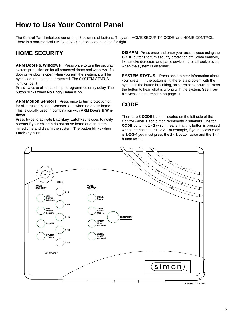# **How to Use Your Control Panel**

The Control Panel interface consists of 3 columns of buttons. They are: HOME SECURITY, CODE, and HOME CONTROL. There is a non-medical EMERGENCY button located on the far right.

## **HOME SECURITY**

**ARM Doors & Windows** Press once to turn the security system protection on for all protected doors and windows. If a door or window is open when you arm the system, it will be bypassed, meaning not protected. The SYSTEM STATUS light will be lit.

Press twice to eliminate the preprogrammed entry delay. The button blinks when **No Entry Delay** is on.

**ARM Motion Sensors** Press once to turn protection on for all intrusion Motion Sensors. Use when no one is home. This is usually used in combination with **ARM Doors & Windows**.

Press twice to activate **Latchkey**. **Latchkey** is used to notify parents if your children do not arrive home at a predetermined time and disarm the system. The button blinks when **Latchkey** is on.

**DISARM** Press once and enter your access code using the **CODE** buttons to turn security protection off. Some sensors, like smoke detectors and panic devices, are still active even when the system is disarmed.

**SYSTEM STATUS** Press once to hear information about your system. If the button is lit, there is a problem with the system. If the button is blinking, an alarm has occurred. Press the button to hear what is wrong with the system. See Trouble Message information on page 11.

## **CODE**

There are 5 **CODE** buttons located on the left side of the Control Panel. Each button represents 2 numbers. The top **CODE** button is **1 - 2** which means that this button is pressed when entering either 1 or 2. For example, if your access code is **1-2-3-4** you must press the **1 - 2** button twice and the **3 - 4** button twice.

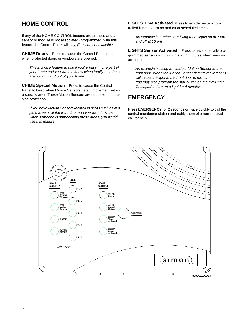## **HOME CONTROL**

If any of the HOME CONTROL buttons are pressed and a sensor or module is not associated (programmed) with this feature the Control Panel will say, Function not available.

**CHIME Doors** Press to cause the Control Panel to beep when protected doors or windows are opened.

This is a nice feature to use if you're busy in one part of your home and you want to know when family members are going in and out of your home.

**CHIME Special Motion** Press to cause the Control Panel to beep when Motion Sensors detect movement within a specific area. These Motion Sensors are not used for intrusion protection.

If you have Motion Sensors located in areas such as in a patio area or at the front door and you want to know when someone is approaching these areas, you would use this feature.

**LIGHTS Time Activated** Press to enable system controlled lights to turn on and off at scheduled times.

An example is turning your living room lights on at 7 pm and off at 10 pm.

**LIGHTS Sensor Activated** Press to have specially programmed sensors turn on lights for 4 minutes when sensors are tripped.

An example is using an outdoor Motion Sensor at the front door. When the Motion Sensor detects movement it will cause the light at the front door to turn on. You may also program the star button on the KeyChain Touchpad to turn on a light for 4 minutes.

## **EMERGENCY**

Press **EMERGENCY** for 2 seconds or twice quickly to call the central monitoring station and notify them of a non-medical call for help.

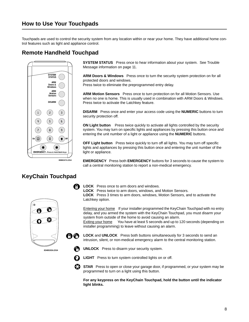Touchpads are used to control the security system from any location within or near your home. They have additional home control features such as light and appliance control.

## **Remote Handheld Touchpad**



 **SYSTEM STATUS** Press once to hear information about your system. See Trouble Message information on page 11.

**ARM Doors & Windows** Press once to turn the security system protection on for all protected doors and windows.

Press twice to eliminate the preprogrammed entry delay.

**ARM Motion Sensors** Press once to turn protection on for all Motion Sensors. Use when no one is home. This is usually used in combination with ARM Doors & Windows. Press twice to activate the Latchkey feature.

**DISARM** Press once and enter your access code using the **NUMERIC** buttons to turn security protection off.

**ON Light button** Press twice quickly to activate all lights controlled by the security system. You may turn on specific lights and appliances by pressing this button once and entering the unit number of a light or appliance using the **NUMERIC** buttons.

**OFF Light button** Press twice quickly to turn off all lights. You may turn off specific lights and appliances by pressing this button once and entering the unit number of the light or appliance.

**EMERGENCY** Press both **EMERGENCY** buttons for 3 seconds to cause the system to call a central monitoring station to report a non-medical emergency.

## **KeyChain Touchpad**



**LOCK** Press once to arm doors and windows.

**LOCK** Press twice to arm doors, windows, and Motion Sensors. **LOCK** Press 3 times to arm doors, windows, Motion Sensors, and to activate the Latchkey option.

Entering your home If your installer programmed the KeyChain Touchpad with no entry delay, and you armed the system with the KeyChain Touchpad, you must disarm your system from outside of the home to avoid causing an alarm.

Exiting your home You have at least 5 seconds and up to 120 seconds (depending on installer programming) to leave without causing an alarm.

- **LOCK** and **UNLOCK** Press both buttons simultaneously for 3 seconds to send an intrusion, silent, or non-medical emergency alarm to the central monitoring station.
- **UNLOCK** Press to disarm your security system.



00

**LIGHT** Press to turn system controlled lights on or off.

**STAR** Press to open or close your garage door, if programmed, or your system may be programmed to turn on a light using this button.

**For any keypress on the KeyChain Touchpad, hold the button until the indicator light blinks.**

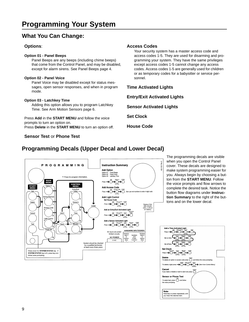## **What You Can Change:**

## **Options**:

### **Option 01 - Panel Beeps**

Panel Beeps are any beeps (including chime beeps) that come from the Control Panel, and may be disabled, except for alarm sirens. See Panel Beeps page 4.

### **Option 02 - Panel Voice**

Panel Voice may be disabled except for status messages, open sensor responses, and when in program mode.

### **Option 03 - Latchkey Time**

Adding this option allows you to program Latchkey Time. See Arm Motion Sensors page 6.

Press **Add** in the **START MENU** and follow the voice prompts to turn an option on. Press **Delete** in the **START MENU** to turn an option off.

## **Sensor Test** or **Phone Test**

## **Access Codes**

Your security system has a master access code and access codes 1-5. They are used for disarming and programming your system. They have the same privileges except access codes 1-5 cannot change any access codes. Access codes 1-5 are generally used for children or as temporary codes for a babysitter or service personnel.

**Time Activated Lights Entry/Exit Activated Lights Sensor Activated Lights Set Clock House Code**

## **Programming Decals (Upper Decal and Lower Decal)**



The programming decals are visible when you open the Control Panel cover. These decals are designed to make system programming easier for you. Always begin by choosing a button from the **START MENU**. Follow the voice prompts and flow arrows to complete the desired task. Notice the button flow diagrams under **Instruction Summary** to the right of the buttons and on the lower decal.

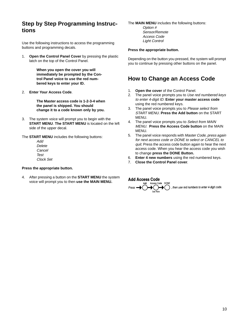## **Step by Step Programming Instructions**

Use the following instructions to access the programming buttons and programming decals.

1. **Open the Control Panel Cover** by pressing the plastic latch on the top of the Control Panel.

> **When you open the cover you will immediately be prompted by the Control Panel voice to use the red numbered keys to enter your ID.**

2. **Enter Your Access Code**.

**The Master access code is 1-2-3-4 when the panel is shipped. You should change it to a code known only by you.**

3. The system voice will prompt you to begin with the **START MENU**. **The START MENU** is located on the left side of the upper decal.

The **START MENU** includes the following buttons:

Add Delete Cancel Test Clock Set

#### **Press the appropriate button.**

4. After pressing a button on the **START MENU** the system voice will prompt you to then **use the MAIN MENU.**

#### The **MAIN MENU** includes the following buttons:

Option # Sensor/Remote Access Code Light Control

#### **Press the appropriate button.**

Depending on the button you pressed, the system will prompt you to continue by pressing other buttons on the panel.

## **How to Change an Access Code**

- 1. **Open the cover** of the Control Panel.
- 2. The panel voice prompts you to Use red numbered keys to enter 4-digit ID. **Enter your master access code**  using the red numbered keys.
- 3. The panel voice prompts you to Please select from START MENU. **Press the Add button** on the START MENU.
- 4. The panel voice prompts you to Select from MAIN MENU. **Press the Access Code button** on the MAIN MENU.
- 5. The panel voice responds with Master Code, press again for next access code or DONE to select or CANCEL to quit. Press the access code button again to hear the next access code. When you hear the access code you wish to change **press the DONE Button.**
- 6. **Enter 4 new numbers** using the red numbered keys.
- 7. **Close the Control Panel cover**.

### **Add Access Code**



, then use red numbers to enter 4-digit code.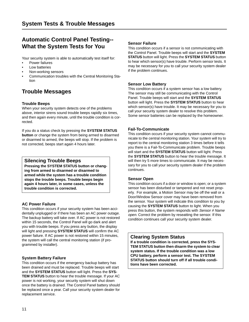## **Automatic Control Panel Testing-- What the System Tests for You**

Your security system is able to automatically test itself for:

- Power failures
- Low batteries
- Non-working sensors
- Communication troubles with the Central Monitoring Station

## **Trouble Messages**

## **Trouble Beeps**

When your security system detects one of the problems above, interior sirens sound trouble beeps rapidly six times, and then again every minute, until the trouble condition is corrected.

If you do a status check by pressing the **SYSTEM STATUS button** or change the system from being armed to disarmed or disarmed to armed, the beeps will stop. If the problem is not corrected, beeps start again 4 hours later.

## **Silencing Trouble Beeps**

**Pressing the SYSTEM STATUS button or changing from armed to disarmed or disarmed to armed while the system has a trouble condition stops the trouble beeps. Trouble beeps begin again 4 hours later, in some cases, unless the trouble condition is corrected.**

## **AC Power Failure**

This condition occurs if your security system has been accidentally unplugged or if there has been an AC power outage. The backup battery will take over. If AC power is not restored within 15 seconds, the Control Panel will go dark and alert you with trouble beeps. If you press any button, the display will light and pressing **SYSTEM STATUS** will confirm the AC power failure. If AC power is not restored within 15 minutes, the system will call the central monitoring station (if programmed by installer).

## **System Battery Failure**

This condition occurs if the emergency backup battery has been drained and must be replaced. Trouble beeps will start and the **SYSTEM STATUS** button will light. Press the **SYS-TEM STATUS** button to hear the trouble message. If your AC power is not working, your security system will shut down once the battery is drained. The Control Panel battery should be replaced once a year. Call your security system dealer for replacement service.

### **Sensor Failure**

This condition occurs if a sensor is not communicating with the Control Panel. Trouble beeps will start and the **SYSTEM STATUS** button will light. Press the **SYSTEM STATUS** button to hear which sensor(s) have trouble. Perform sensor tests. It may be necessary for you to call your security system dealer if the problem continues.

### **Sensor Low Battery**

This condition occurs if a system sensor has a low battery. The sensor may still be communicating with the Control Panel. Trouble beeps will start and the **SYSTEM STATUS**  button will light. Press the **SYSTEM STATUS** button to hear which sensor(s) have trouble. It may be necessary for you to call your security system dealer to resolve this problem. Some sensor batteries can be replaced by the homeowner.

### **Fail-To-Communicate**

This condition occurs if your security system cannot communicate to the central monitoring station. Your system will try to report to the central monitoring station 3 times before it tells you there is a Fail-To-Communicate problem. Trouble beeps will start and the **SYSTEM STATUS** button will light. Press the **SYSTEM STATUS** button to hear the trouble message. It will then try 5 more times to communicate. It may be necessary for you to call your security system dealer if the problem continues.

### **Sensor Open**

This condition occurs if a door or window is open; or a system sensor has been disturbed or tampered and not reset properly. For example, a Motion Sensor may be off the wall or a Door/Window Sensor cover may have been removed from the sensor. Your system will indicate this condition to you by causing the **SYSTEM STATUS** button to light. When you press this button, the system responds with Sensor # Name open. Correct the problem by reseatting the sensor. If this condition continues call your security system dealer.

## **Clearing System Status**

**If a trouble condition is corrected, press the SYS-TEM STATUS button then disarm the system to clear system status. If the trouble condition was a low CPU battery, perform a sensor test. The SYSTEM STATUS button should turn off if all trouble conditions have been corrected.**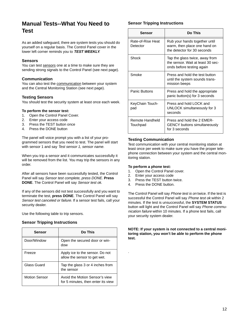## **Manual Tests--What You Need to Test**

As an added safeguard, there are system tests you should do yourself on a regular basis. The Control Panel cover in the lower left corner reminds you to **TEST WEEKLY**.

### **Sensors**

You can test sensors one at a time to make sure they are sending strong signals to the Control Panel (see next page).

### **Communication**

You can also test the communication between your system and the Central Monitoring Station (see next page).

### **Testing Sensors**

You should test the security system at least once each week.

### **To perform the sensor test:**

- 1. Open the Control Panel Cover.
- 2. Enter your access code
- 3. Press the TEST button once
- 4. Press the DONE button

The panel will voice prompt you with a list of your programmed sensors that you need to test. The panel will start with sensor 1 and say Test sensor 1, sensor name.

When you trip a sensor and it communicates successfully it will be removed from the list. You may trip the sensors in any order.

After all sensors have been successfully tested, the Control Panel will say Sensor test complete, press DONE. **Press DONE**. The Control Panel will say Sensor test ok.

If any of the sensors did not test successfully and you want to terminate the test, **press DONE**. The Control Panel will say Sensor test canceled or failure. If a sensor test fails, call your security dealer.

Use the following table to trip sensors.

### **Sensor Tripping Instructions**

| <b>Sensor</b>        | Do This                                                              |
|----------------------|----------------------------------------------------------------------|
| Door/Window          | Open the secured door or win-<br>dow                                 |
| Freeze               | Apply ice to the sensor. Do not<br>allow the sensor to get wet.      |
| Glass Guard          | Tap the glass 3 or 4 inches from<br>the sensor                       |
| <b>Motion Sensor</b> | Avoid the Motion Sensor's view<br>for 5 minutes, then enter its view |

## **Sensor Tripping Instructions**

| Sensor                        | Do This                                                                                          |
|-------------------------------|--------------------------------------------------------------------------------------------------|
| Rate-of-Rise Heat<br>Detector | Rub your hands together until<br>warm, then place one hand on<br>the detector for 30 seconds     |
| Shock                         | Tap the glass twice, away from<br>the sensor. Wait at least 30 sec-<br>onds before testing again |
| Smoke                         | Press and hold the test button<br>until the system sounds trans-<br>mission beeps                |
| <b>Panic Buttons</b>          | Press and hold the appropriate<br>panic button(s) for 3 seconds                                  |
| KeyChain Touch-<br>pad        | Press and hold LOCK and<br>UNLOCK simultaneously for 3<br>seconds                                |
| Remote Handheld<br>Touchpad   | Press and hold the 2 EMER-<br><b>GENCY buttons simultaneously</b><br>for 3 seconds               |

### **Testing Communication**

Test communication with your central monitoring station at least once per week to make sure you have the proper telephone connection between your system and the central monitoring station.

#### **To perform a phone test:**

- 1. Open the Control Panel cover.
- 2. Enter your access code

.

- 3. Press the TEST button twice.
- 4. Press the DONE button.

The Control Panel will say Phone test is on twice. If the test is successful the Control Panel will say Phone test ok within 2 minutes. If the test is unsuccessful, the **SYSTEM STATUS** button will light and the Control Panel will say Phone communication failure within 10 minutes. If a phone test fails, call your security system dealer.

**NOTE: If your system is not connected to a central monitoring station, you won't be able to perform the phone test.**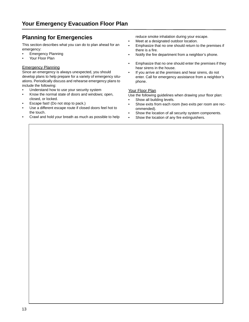## **Planning for Emergencies**

This section describes what you can do to plan ahead for an emergency:

- Emergency Planning
- Your Floor Plan

### Emergency Planning

Since an emergency is always unexpected, you should develop plans to help prepare for a variety of emergency situations. Periodically discuss and rehearse emergency plans to include the following:

- Understand how to use your security system
- Know the normal state of doors and windows; open, closed, or locked.
- Escape fast! (Do not stop to pack.)
- Use a different escape route if closed doors feel hot to the touch.
- Crawl and hold your breath as much as possible to help

reduce smoke inhalation during your escape.

- Meet at a designated outdoor location.
- Emphasize that no one should return to the premises if there is a fire.
- Notify the fire department from a neighbor's phone.
- Emphasize that no one should enter the premises if they hear sirens in the house.
- If you arrive at the premises and hear sirens, do not enter. Call for emergency assistance from a neighbor's phone.

### Your Floor Plan

Use the following guidelines when drawing your floor plan:

- Show all building levels.
- Show exits from each room (two exits per room are recommended).
- Show the location of all security system components.
- Show the location of any fire extinguishers.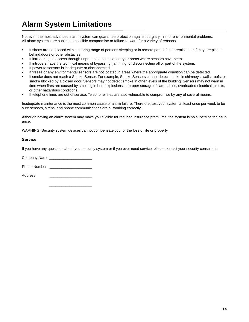# **Alarm System Limitations**

Not even the most advanced alarm system can guarantee protection against burglary, fire, or environmental problems. All alarm systems are subject to possible compromise or failure-to-warn for a variety of reasons.

- If sirens are not placed within hearing range of persons sleeping or in remote parts of the premises, or if they are placed behind doors or other obstacles.
- If intruders gain access through unprotected points of entry or areas where sensors have been.
- If intruders have the technical means of bypassing, jamming, or disconnecting all or part of the system.
- If power to sensors is inadequate or disconnected.
- If freeze or any environmental sensors are not located in areas where the appropriate condition can be detected.
- If smoke does not reach a Smoke Sensor. For example, Smoke Sensors cannot detect smoke in chimneys, walls, roofs, or smoke blocked by a closed door. Sensors may not detect smoke in other levels of the building. Sensors may not warn in time when fires are caused by smoking in bed, explosions, improper storage of flammables, overloaded electrical circuits, or other hazardous conditions.
- If telephone lines are out of service. Telephone lines are also vulnerable to compromise by any of several means.

Inadequate maintenance is the most common cause of alarm failure. Therefore, test your system at least once per week to be sure sensors, sirens, and phone communications are all working correctly.

Although having an alarm system may make you eligible for reduced insurance premiums, the system is no substitute for insurance.

WARNING: Security system devices cannot compensate you for the loss of life or property.

#### **Service**

If you have any questions about your security system or if you ever need service, please contact your security consultant.

Company Name

Phone Number **Lackalle** 

Address \_\_\_\_\_\_\_\_\_\_\_\_\_\_\_\_\_\_\_\_\_

 $\overline{\phantom{a}}$  ,  $\overline{\phantom{a}}$  ,  $\overline{\phantom{a}}$  ,  $\overline{\phantom{a}}$  ,  $\overline{\phantom{a}}$  ,  $\overline{\phantom{a}}$  ,  $\overline{\phantom{a}}$  ,  $\overline{\phantom{a}}$  ,  $\overline{\phantom{a}}$  ,  $\overline{\phantom{a}}$  ,  $\overline{\phantom{a}}$  ,  $\overline{\phantom{a}}$  ,  $\overline{\phantom{a}}$  ,  $\overline{\phantom{a}}$  ,  $\overline{\phantom{a}}$  ,  $\overline{\phantom{a}}$